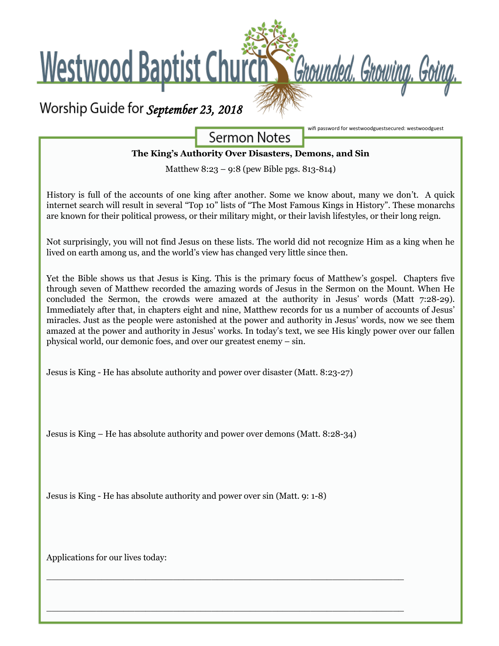

**Sermon Notes** 

wifi password for westwoodguestsecured: westwoodguest

### **The King's Authority Over Disasters, Demons, and Sin**

Matthew 8:23 – 9:8 (pew Bible pgs. 813-814)

History is full of the accounts of one king after another. Some we know about, many we don't. A quick internet search will result in several "Top 10" lists of "The Most Famous Kings in History". These monarchs are known for their political prowess, or their military might, or their lavish lifestyles, or their long reign.

Not surprisingly, you will not find Jesus on these lists. The world did not recognize Him as a king when he lived on earth among us, and the world's view has changed very little since then.

Yet the Bible shows us that Jesus is King. This is the primary focus of Matthew's gospel. Chapters five through seven of Matthew recorded the amazing words of Jesus in the Sermon on the Mount. When He concluded the Sermon, the crowds were amazed at the authority in Jesus' words (Matt 7:28-29). Immediately after that, in chapters eight and nine, Matthew records for us a number of accounts of Jesus' miracles. Just as the people were astonished at the power and authority in Jesus' words, now we see them amazed at the power and authority in Jesus' works. In today's text, we see His kingly power over our fallen physical world, our demonic foes, and over our greatest enemy – sin.

Jesus is King - He has absolute authority and power over disaster (Matt. 8:23-27)

Jesus is King – He has absolute authority and power over demons (Matt. 8:28-34)

 $\overline{\phantom{a}}$  , and the contribution of the contribution of the contribution of the contribution of the contribution of the contribution of the contribution of the contribution of the contribution of the contribution of the

 $\overline{\phantom{a}}$  , and the contribution of the contribution of the contribution of the contribution of the contribution of the contribution of the contribution of the contribution of the contribution of the contribution of the

Jesus is King - He has absolute authority and power over sin (Matt. 9: 1-8)

Applications for our lives today: